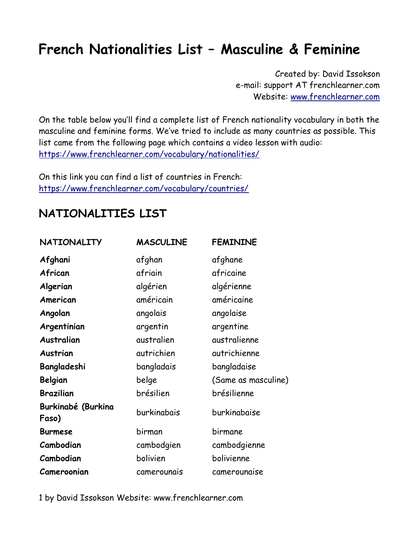Created by: David Issokson e-mail: support AT frenchlearner.com Website: www.frenchlearner.com

On the table below you·ll find a complete list of French nationality vocabulary in both the masculine and feminine forms. We've tried to include as many countries as possible. This list came from the following page which contains a video lesson with audio: https://www.frenchlearner.com/vocabulary/nationalities/

On this link you can find a list of countries in French: https://www.frenchlearner.com/vocabulary/countries/

#### NATIONALITIES LIST

| <b>NATIONALITY</b>                 | <b>MASCULINE</b> | <b>FEMININE</b>     |
|------------------------------------|------------------|---------------------|
| Afghani                            | afghan           | afghane             |
| African                            | afriain          | africaine           |
| Algerian                           | algérien         | algérienne          |
| American                           | américain        | américaine          |
| Angolan                            | angolais         | angolaise           |
| Argentinian                        | argentin         | argentine           |
| <b>Australian</b>                  | australien       | australienne        |
| Austrian                           | autrichien       | autrichienne        |
| Bangladeshi                        | bangladais       | bangladaise         |
| Belgian                            | belge            | (Same as masculine) |
| <b>Brazilian</b>                   | brésilien        | brésilienne         |
| <b>Burkinabé (Burkina</b><br>Faso) | burkinabais      | burkinabaise        |
| <b>Burmese</b>                     | birman           | birmane             |
| Cambodian                          | cambodgien       | cambodgienne        |
| Cambodian                          | bolivien         | bolivienne          |
| Cameroonian                        | camerounais      | camerounaise        |

1 by David Issokson Website: www.frenchlearner.com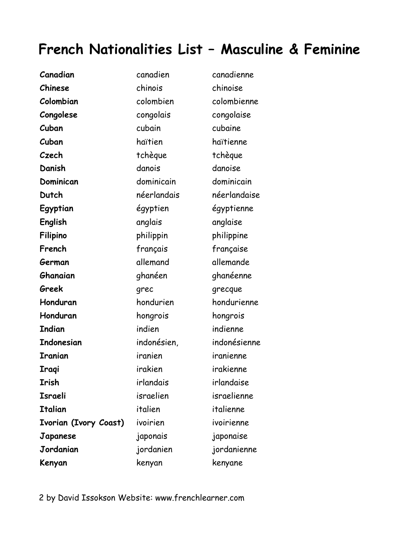| canadien    | canadienne   |
|-------------|--------------|
| chinois     | chinoise     |
| colombien   | colombienne  |
| congolais   | congolaise   |
| cubain      | cubaine      |
| haïtien     | haïtienne    |
| tchèque     | tchèque      |
| danois      | danoise      |
| dominicain  | dominicain   |
| néerlandais | néerlandaise |
| égyptien    | égyptienne   |
| anglais     | anglaise     |
| philippin   | philippine   |
| français    | française    |
| allemand    | allemande    |
| ghanéen     | ghanéenne    |
| grec        | grecque      |
| hondurien   | hondurienne  |
| hongrois    | hongrois     |
| indien      | indienne     |
| indonésien, | indonésienne |
| iranien     | iranienne    |
| irakien     | irakienne    |
| irlandais   | irlandaise   |
| israelien   | israelienne  |
| italien     | italienne    |
| ivoirien    | ivoirienne   |
| japonais    | japonaise    |
| jordanien   | jordanienne  |
|             |              |
|             |              |

2 by David Issokson Website: www.frenchlearner.com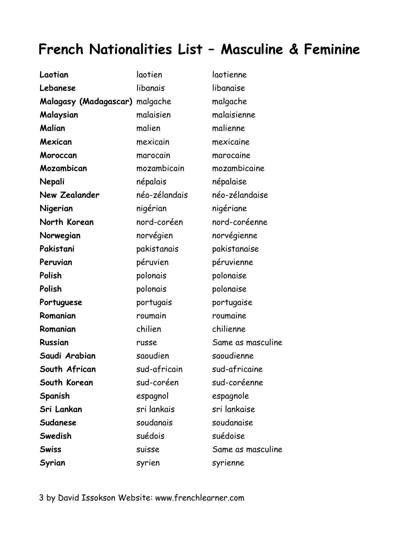| Laotian                        | laotien       | laotienne         |
|--------------------------------|---------------|-------------------|
| Lebanese                       | libanais      | libanaise         |
| Malagasy (Madagascar) malgache |               | malgache          |
| Malaysian                      | malaisien     | malaisienne       |
| Malian                         | malien        | malienne          |
| Mexican                        | mexicain      | mexicaine         |
| Moroccan                       | marocain      | marocaine         |
| Mozambican                     | mozambicain   | mozambicaine      |
| Nepali                         | népalais      | népalaise         |
| <b>New Zealander</b>           | néo-zélandais | néo-zélandaise    |
| Nigerian                       | nigérian      | nigériane         |
| North Korean                   | nord-coréen   | nord-coréenne     |
| Norwegian                      | norvégien     | norvégienne       |
| Pakistani                      | pakistanais   | pakistanaise      |
| Peruvian                       | péruvien      | péruvienne        |
| Polish                         | polonais      | polonaise         |
| Polish                         | polonais      | polonaise         |
| Portuguese                     | portugais     | portugaise        |
| Romanian                       | roumain       | roumaine          |
| Romanian                       | chilien       | chilienne         |
| <b>Russian</b>                 | russe         | Same as masculine |
| Saudi Arabian                  | saoudien      | saoudienne        |
| South African                  | sud-africain  | sud-africaine     |
| South Korean                   | sud-coréen    | sud-coréenne      |
| Spanish                        | espagnol      | espagnole         |
| Sri Lankan                     | sri lankais   | sri lankaise      |
| Sudanese                       | soudanais     | soudanaise        |
| Swedish                        | suédois       | suédoise          |
| <b>Swiss</b>                   | suisse        | Same as masculine |
| Syrian                         | syrien        | syrienne          |

3 by David Issokson Website: www.frenchlearner.com